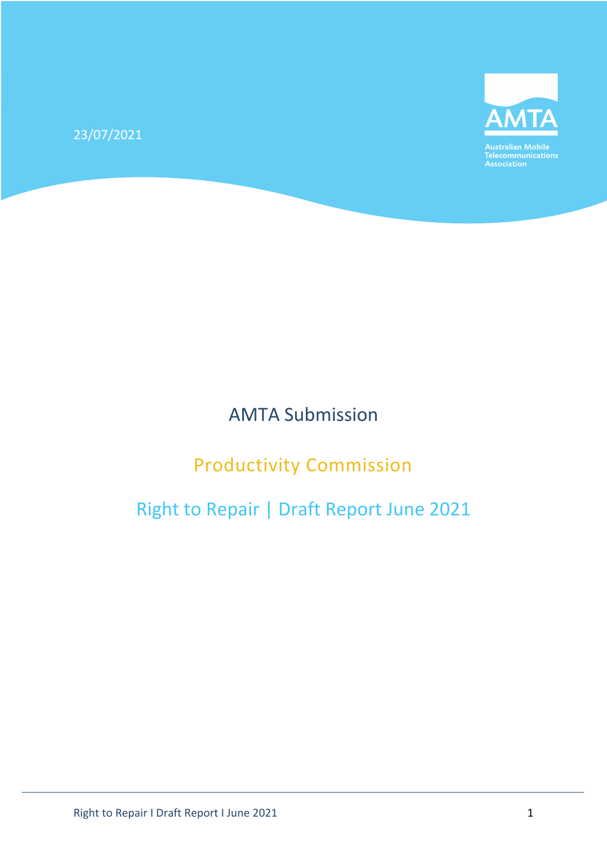23/07/2021



Australian Mobile<br>Telecommunications<br>Association

# AMTA Submission

# Productivity Commission

# Right to Repair | Draft Report June 2021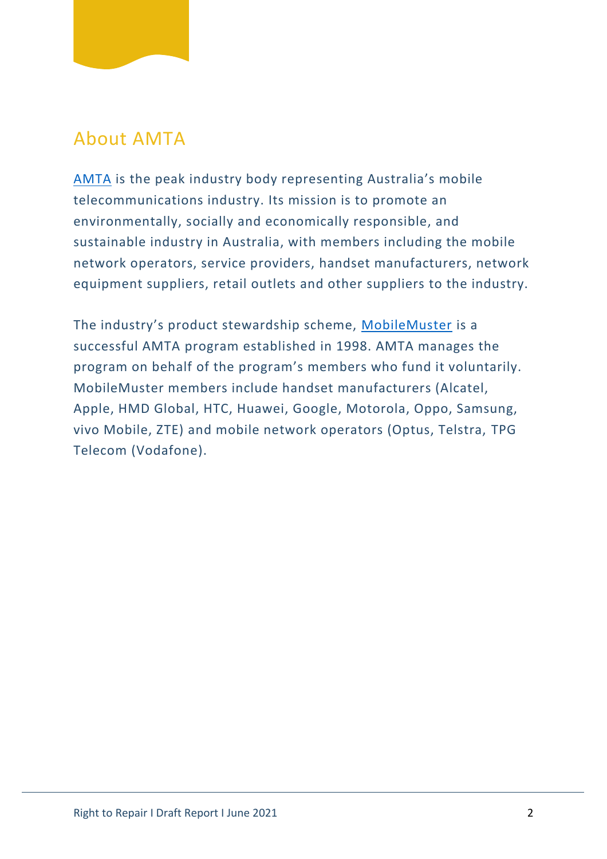

### About AMTA

[AMTA](http://www.amta.org.au/) is the peak industry body representing Australia's mobile telecommunications industry. Its mission is to promote an environmentally, socially and economically responsible, and sustainable industry in Australia, with members including the mobile network operators, service providers, handset manufacturers, network equipment suppliers, retail outlets and other suppliers to the industry.

The industry's product stewardship scheme, [MobileMuster](http://www.mobilemuster.com.au/) is a successful AMTA program established in 1998. AMTA manages the program on behalf of the program's members who fund it voluntarily. MobileMuster members include handset manufacturers (Alcatel, Apple, HMD Global, HTC, Huawei, Google, Motorola, Oppo, Samsung, vivo Mobile, ZTE) and mobile network operators (Optus, Telstra, TPG Telecom (Vodafone).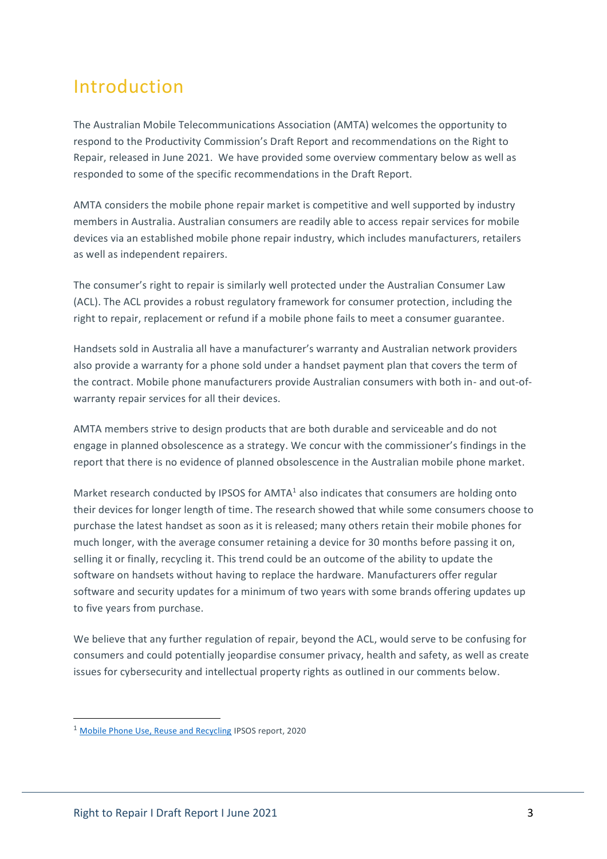# Introduction

The Australian Mobile Telecommunications Association (AMTA) welcomes the opportunity to respond to the Productivity Commission's Draft Report and recommendations on the Right to Repair, released in June 2021. We have provided some overview commentary below as well as responded to some of the specific recommendations in the Draft Report.

AMTA considers the mobile phone repair market is competitive and well supported by industry members in Australia. Australian consumers are readily able to access repair services for mobile devices via an established mobile phone repair industry, which includes manufacturers, retailers as well as independent repairers.

The consumer's right to repair is similarly well protected under the Australian Consumer Law (ACL). The ACL provides a robust regulatory framework for consumer protection, including the right to repair, replacement or refund if a mobile phone fails to meet a consumer guarantee.

Handsets sold in Australia all have a manufacturer's warranty and Australian network providers also provide a warranty for a phone sold under a handset payment plan that covers the term of the contract. Mobile phone manufacturers provide Australian consumers with both in- and out-ofwarranty repair services for all their devices.

AMTA members strive to design products that are both durable and serviceable and do not engage in planned obsolescence as a strategy. We concur with the commissioner's findings in the report that there is no evidence of planned obsolescence in the Australian mobile phone market.

Market research conducted by IPSOS for AMTA<sup>1</sup> also indicates that consumers are holding onto their devices for longer length of time. The research showed that while some consumers choose to purchase the latest handset as soon as it is released; many others retain their mobile phones for much longer, with the average consumer retaining a device for 30 months before passing it on, selling it or finally, recycling it. This trend could be an outcome of the ability to update the software on handsets without having to replace the hardware. Manufacturers offer regular software and security updates for a minimum of two years with some brands offering updates up to five years from purchase.

We believe that any further regulation of repair, beyond the ACL, would serve to be confusing for consumers and could potentially jeopardise consumer privacy, health and safety, as well as create issues for cybersecurity and intellectual property rights as outlined in our comments below.

<sup>1</sup> [Mobile Phone Use, Reuse and Recycling](https://www.mobilemuster.com.au/wp-content/uploads/2020/09/Mobile-phone-use-reuse-and-recycling.pdf) IPSOS report, 2020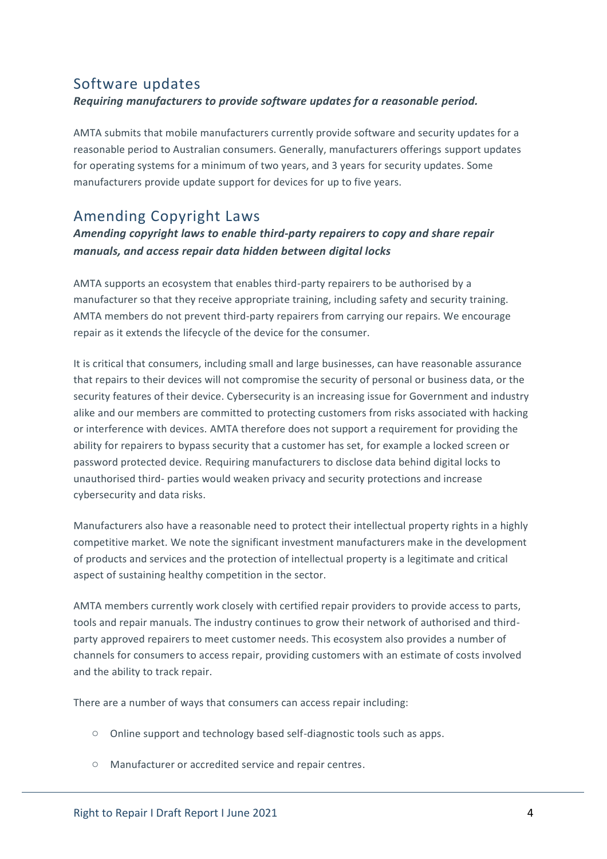### Software updates *Requiring manufacturers to provide software updates for a reasonable period.*

AMTA submits that mobile manufacturers currently provide software and security updates for a reasonable period to Australian consumers. Generally, manufacturers offerings support updates for operating systems for a minimum of two years, and 3 years for security updates. Some manufacturers provide update support for devices for up to five years.

### Amending Copyright Laws

#### *Amending copyright laws to enable third-party repairers to copy and share repair manuals, and access repair data hidden between digital locks*

AMTA supports an ecosystem that enables third-party repairers to be authorised by a manufacturer so that they receive appropriate training, including safety and security training. AMTA members do not prevent third-party repairers from carrying our repairs. We encourage repair as it extends the lifecycle of the device for the consumer.

It is critical that consumers, including small and large businesses, can have reasonable assurance that repairs to their devices will not compromise the security of personal or business data, or the security features of their device. Cybersecurity is an increasing issue for Government and industry alike and our members are committed to protecting customers from risks associated with hacking or interference with devices. AMTA therefore does not support a requirement for providing the ability for repairers to bypass security that a customer has set, for example a locked screen or password protected device. Requiring manufacturers to disclose data behind digital locks to unauthorised third- parties would weaken privacy and security protections and increase cybersecurity and data risks.

Manufacturers also have a reasonable need to protect their intellectual property rights in a highly competitive market. We note the significant investment manufacturers make in the development of products and services and the protection of intellectual property is a legitimate and critical aspect of sustaining healthy competition in the sector.

AMTA members currently work closely with certified repair providers to provide access to parts, tools and repair manuals. The industry continues to grow their network of authorised and thirdparty approved repairers to meet customer needs. This ecosystem also provides a number of channels for consumers to access repair, providing customers with an estimate of costs involved and the ability to track repair.

There are a number of ways that consumers can access repair including:

- o Online support and technology based self-diagnostic tools such as apps.
- Manufacturer or accredited service and repair centres.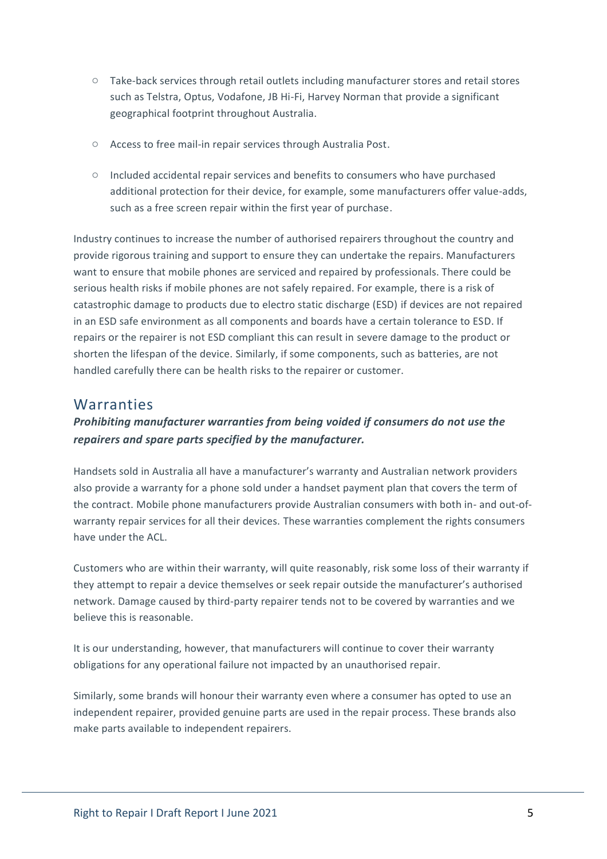- o Take-back services through retail outlets including manufacturer stores and retail stores such as Telstra, Optus, Vodafone, JB Hi-Fi, Harvey Norman that provide a significant geographical footprint throughout Australia.
- o Access to free mail-in repair services through Australia Post.
- $\circ$  Included accidental repair services and benefits to consumers who have purchased additional protection for their device, for example, some manufacturers offer value-adds, such as a free screen repair within the first year of purchase.

Industry continues to increase the number of authorised repairers throughout the country and provide rigorous training and support to ensure they can undertake the repairs. Manufacturers want to ensure that mobile phones are serviced and repaired by professionals. There could be serious health risks if mobile phones are not safely repaired. For example, there is a risk of catastrophic damage to products due to electro static discharge (ESD) if devices are not repaired in an ESD safe environment as all components and boards have a certain tolerance to ESD. If repairs or the repairer is not ESD compliant this can result in severe damage to the product or shorten the lifespan of the device. Similarly, if some components, such as batteries, are not handled carefully there can be health risks to the repairer or customer.

#### Warranties

#### *Prohibiting manufacturer warranties from being voided if consumers do not use the repairers and spare parts specified by the manufacturer.*

Handsets sold in Australia all have a manufacturer's warranty and Australian network providers also provide a warranty for a phone sold under a handset payment plan that covers the term of the contract. Mobile phone manufacturers provide Australian consumers with both in- and out-ofwarranty repair services for all their devices. These warranties complement the rights consumers have under the ACL.

Customers who are within their warranty, will quite reasonably, risk some loss of their warranty if they attempt to repair a device themselves or seek repair outside the manufacturer's authorised network. Damage caused by third-party repairer tends not to be covered by warranties and we believe this is reasonable.

It is our understanding, however, that manufacturers will continue to cover their warranty obligations for any operational failure not impacted by an unauthorised repair.

Similarly, some brands will honour their warranty even where a consumer has opted to use an independent repairer, provided genuine parts are used in the repair process. These brands also make parts available to independent repairers.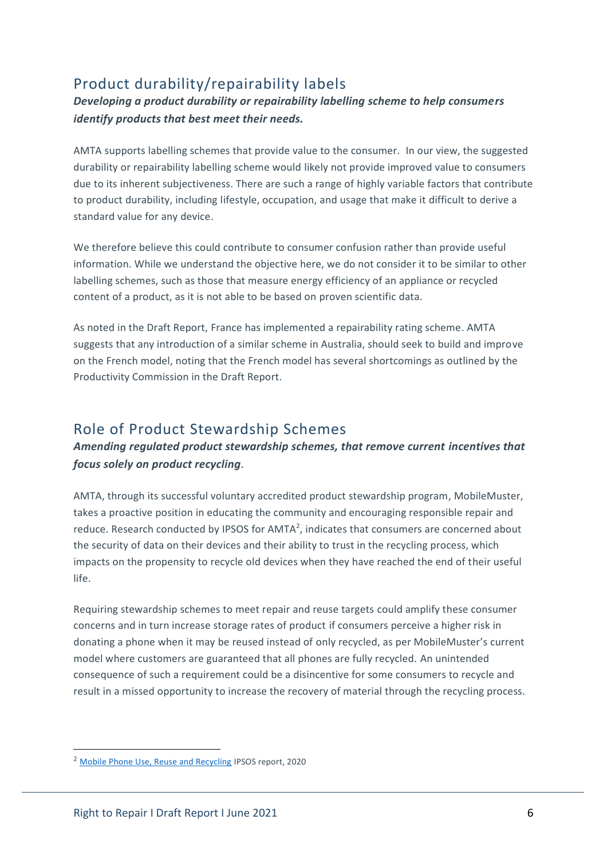### Product durability/repairability labels

#### *Developing a product durability or repairability labelling scheme to help consumers identify products that best meet their needs.*

AMTA supports labelling schemes that provide value to the consumer. In our view, the suggested durability or repairability labelling scheme would likely not provide improved value to consumers due to its inherent subjectiveness. There are such a range of highly variable factors that contribute to product durability, including lifestyle, occupation, and usage that make it difficult to derive a standard value for any device.

We therefore believe this could contribute to consumer confusion rather than provide useful information. While we understand the objective here, we do not consider it to be similar to other labelling schemes, such as those that measure energy efficiency of an appliance or recycled content of a product, as it is not able to be based on proven scientific data.

As noted in the Draft Report, France has implemented a repairability rating scheme. AMTA suggests that any introduction of a similar scheme in Australia, should seek to build and improve on the French model, noting that the French model has several shortcomings as outlined by the Productivity Commission in the Draft Report.

### Role of Product Stewardship Schemes

#### *Amending regulated product stewardship schemes, that remove current incentives that focus solely on product recycling.*

AMTA, through its successful voluntary accredited product stewardship program, MobileMuster, takes a proactive position in educating the community and encouraging responsible repair and reduce. Research conducted by IPSOS for AMTA<sup>2</sup>, indicates that consumers are concerned about the security of data on their devices and their ability to trust in the recycling process, which impacts on the propensity to recycle old devices when they have reached the end of their useful life.

Requiring stewardship schemes to meet repair and reuse targets could amplify these consumer concerns and in turn increase storage rates of product if consumers perceive a higher risk in donating a phone when it may be reused instead of only recycled, as per MobileMuster's current model where customers are guaranteed that all phones are fully recycled. An unintended consequence of such a requirement could be a disincentive for some consumers to recycle and result in a missed opportunity to increase the recovery of material through the recycling process.

<sup>2</sup> [Mobile Phone Use, Reuse and Recycling](https://www.mobilemuster.com.au/wp-content/uploads/2020/09/Mobile-phone-use-reuse-and-recycling.pdf) IPSOS report, 2020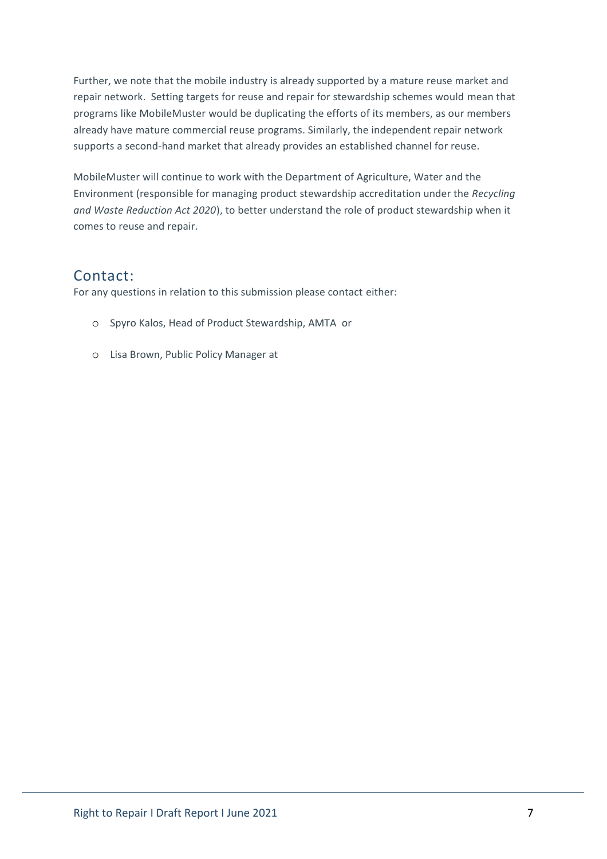Further, we note that the mobile industry is already supported by a mature reuse market and repair network. Setting targets for reuse and repair for stewardship schemes would mean that programs like MobileMuster would be duplicating the efforts of its members, as our members already have mature commercial reuse programs. Similarly, the independent repair network supports a second-hand market that already provides an established channel for reuse.

MobileMuster will continue to work with the Department of Agriculture, Water and the Environment (responsible for managing product stewardship accreditation under the *Recycling and Waste Reduction Act 2020*), to better understand the role of product stewardship when it comes to reuse and repair.

### Contact:

For any questions in relation to this submission please contact either:

- o Spyro Kalos, Head of Product Stewardship, AMTA or
- o Lisa Brown, Public Policy Manager at